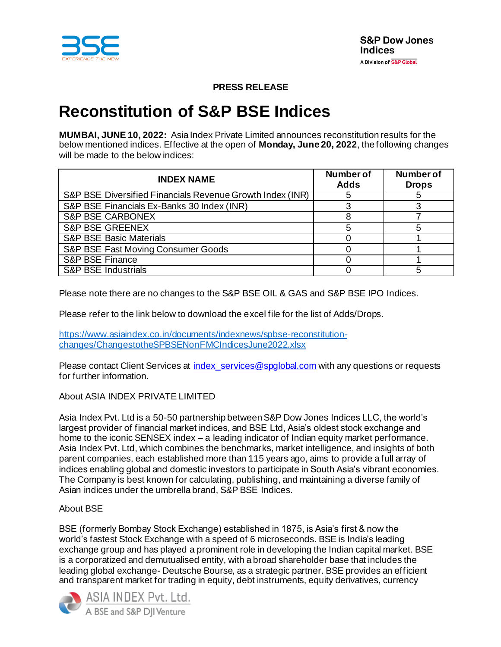

# **PRESS RELEASE**

# **Reconstitution of S&P BSE Indices**

**MUMBAI, JUNE 10, 2022:** Asia Index Private Limited announces reconstitution results for the below mentioned indices. Effective at the open of **Monday, June 20, 2022**, the following changes will be made to the below indices:

| <b>INDEX NAME</b>                                         | <b>Number of</b><br><b>Adds</b> | <b>Number of</b><br><b>Drops</b> |
|-----------------------------------------------------------|---------------------------------|----------------------------------|
| S&P BSE Diversified Financials Revenue Growth Index (INR) |                                 |                                  |
| S&P BSE Financials Ex-Banks 30 Index (INR)                |                                 |                                  |
| <b>S&amp;P BSE CARBONEX</b>                               |                                 |                                  |
| <b>S&amp;P BSE GREENEX</b>                                |                                 |                                  |
| <b>S&amp;P BSE Basic Materials</b>                        |                                 |                                  |
| S&P BSE Fast Moving Consumer Goods                        |                                 |                                  |
| <b>S&amp;P BSE Finance</b>                                |                                 |                                  |
| <b>S&amp;P BSE Industrials</b>                            |                                 |                                  |

Please note there are no changes to the S&P BSE OIL & GAS and S&P BSE IPO Indices.

Please refer to the link below to download the excel file for the list of Adds/Drops.

[https://www.asiaindex.co.in/documents/indexnews/spbse-reconstitution](https://www.asiaindex.co.in/documents/indexnews/spbse-reconstitution-changes/ChangestotheSPBSENonFMCIndicesJune2022.xlsx)[changes/ChangestotheSPBSENonFMCIndicesJune2022.xlsx](https://www.asiaindex.co.in/documents/indexnews/spbse-reconstitution-changes/ChangestotheSPBSENonFMCIndicesJune2022.xlsx)

Please contact Client Services at index services@spglobal.com with any questions or requests for further information.

# About ASIA INDEX PRIVATE LIMITED

Asia Index Pvt. Ltd is a 50-50 partnership between S&P Dow Jones Indices LLC, the world's largest provider of financial market indices, and BSE Ltd, Asia's oldest stock exchange and home to the iconic SENSEX index – a leading indicator of Indian equity market performance. Asia Index Pvt. Ltd, which combines the benchmarks, market intelligence, and insights of both parent companies, each established more than 115 years ago, aims to provide a full array of indices enabling global and domestic investors to participate in South Asia's vibrant economies. The Company is best known for calculating, publishing, and maintaining a diverse family of Asian indices under the umbrella brand, S&P BSE Indices.

# About BSE

BSE (formerly Bombay Stock Exchange) established in 1875, is Asia's first & now the world's fastest Stock Exchange with a speed of 6 microseconds. BSE is India's leading exchange group and has played a prominent role in developing the Indian capital market. BSE is a corporatized and demutualised entity, with a broad shareholder base that includes the leading global exchange- Deutsche Bourse, as a strategic partner. BSE provides an efficient and transparent market for trading in equity, debt instruments, equity derivatives, currency